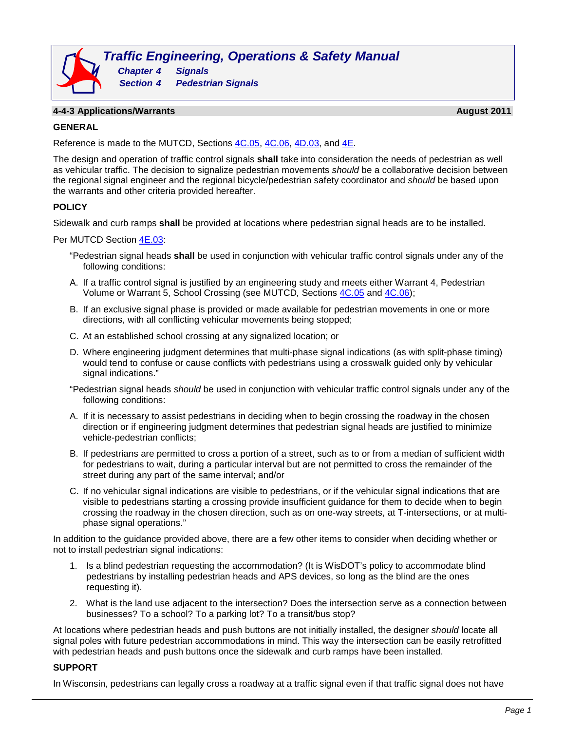

### **4-4-3 Applications/Warrants August 2011**

### **GENERAL**

Reference is made to the MUTCD, Sections [4C.05, 4C.06, 4D.03,](http://wisconsindot.gov/dtsdManuals/traffic-ops/manuals-and-standards/mutcd-ch04.pdf) and [4E.](http://wisconsindot.gov/dtsdManuals/traffic-ops/manuals-and-standards/mutcd-ch04.pdf)

The design and operation of traffic control signals **shall** take into consideration the needs of pedestrian as well as vehicular traffic. The decision to signalize pedestrian movements *should* be a collaborative decision between the regional signal engineer and the regional bicycle/pedestrian safety coordinator and *should* be based upon the warrants and other criteria provided hereafter.

## **POLICY**

Sidewalk and curb ramps **shall** be provided at locations where pedestrian signal heads are to be installed.

Per MUTCD Section [4E.03:](http://wisconsindot.gov/dtsdManuals/traffic-ops/manuals-and-standards/mutcd-ch04.pdf)

- "Pedestrian signal heads **shall** be used in conjunction with vehicular traffic control signals under any of the following conditions:
- A. If a traffic control signal is justified by an engineering study and meets either Warrant 4, Pedestrian Volume or Warrant 5, School Crossing (see MUTCD*,* Sections [4C.05](http://wisconsindot.gov/dtsdManuals/traffic-ops/manuals-and-standards/mutcd-ch04.pdf) and [4C.06\)](http://wisconsindot.gov/dtsdManuals/traffic-ops/manuals-and-standards/mutcd-ch04.pdf);
- B. If an exclusive signal phase is provided or made available for pedestrian movements in one or more directions, with all conflicting vehicular movements being stopped;
- C. At an established school crossing at any signalized location; or
- D. Where engineering judgment determines that multi-phase signal indications (as with split-phase timing) would tend to confuse or cause conflicts with pedestrians using a crosswalk guided only by vehicular signal indications."

"Pedestrian signal heads *should* be used in conjunction with vehicular traffic control signals under any of the following conditions:

- A. If it is necessary to assist pedestrians in deciding when to begin crossing the roadway in the chosen direction or if engineering judgment determines that pedestrian signal heads are justified to minimize vehicle-pedestrian conflicts;
- B. If pedestrians are permitted to cross a portion of a street, such as to or from a median of sufficient width for pedestrians to wait, during a particular interval but are not permitted to cross the remainder of the street during any part of the same interval; and/or
- C. If no vehicular signal indications are visible to pedestrians, or if the vehicular signal indications that are visible to pedestrians starting a crossing provide insufficient guidance for them to decide when to begin crossing the roadway in the chosen direction, such as on one-way streets, at T-intersections, or at multiphase signal operations."

In addition to the guidance provided above, there are a few other items to consider when deciding whether or not to install pedestrian signal indications:

- 1. Is a blind pedestrian requesting the accommodation? (It is WisDOT's policy to accommodate blind pedestrians by installing pedestrian heads and APS devices, so long as the blind are the ones requesting it).
- 2. What is the land use adjacent to the intersection? Does the intersection serve as a connection between businesses? To a school? To a parking lot? To a transit/bus stop?

At locations where pedestrian heads and push buttons are not initially installed, the designer *should* locate all signal poles with future pedestrian accommodations in mind. This way the intersection can be easily retrofitted with pedestrian heads and push buttons once the sidewalk and curb ramps have been installed.

## **SUPPORT**

In Wisconsin, pedestrians can legally cross a roadway at a traffic signal even if that traffic signal does not have